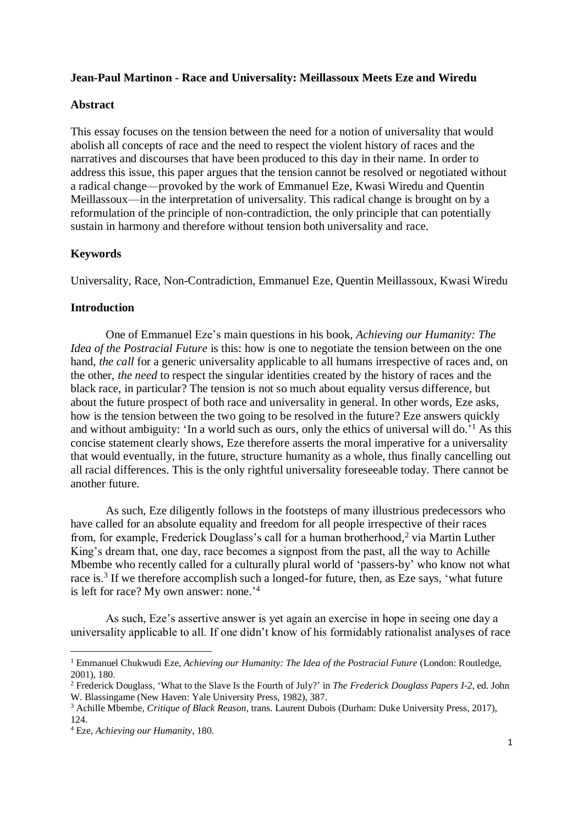## **Jean-Paul Martinon - Race and Universality: Meillassoux Meets Eze and Wiredu**

#### **Abstract**

This essay focuses on the tension between the need for a notion of universality that would abolish all concepts of race and the need to respect the violent history of races and the narratives and discourses that have been produced to this day in their name. In order to address this issue, this paper argues that the tension cannot be resolved or negotiated without a radical change—provoked by the work of Emmanuel Eze, Kwasi Wiredu and Quentin Meillassoux—in the interpretation of universality. This radical change is brought on by a reformulation of the principle of non-contradiction, the only principle that can potentially sustain in harmony and therefore without tension both universality and race.

## **Keywords**

Universality, Race, Non-Contradiction, Emmanuel Eze, Quentin Meillassoux, Kwasi Wiredu

#### **Introduction**

One of Emmanuel Eze's main questions in his book, *Achieving our Humanity: The Idea of the Postracial Future* is this: how is one to negotiate the tension between on the one hand, *the call* for a generic universality applicable to all humans irrespective of races and, on the other, *the need* to respect the singular identities created by the history of races and the black race, in particular? The tension is not so much about equality versus difference, but about the future prospect of both race and universality in general. In other words, Eze asks, how is the tension between the two going to be resolved in the future? Eze answers quickly and without ambiguity: 'In a world such as ours, only the ethics of universal will do.' <sup>1</sup> As this concise statement clearly shows, Eze therefore asserts the moral imperative for a universality that would eventually, in the future, structure humanity as a whole, thus finally cancelling out all racial differences. This is the only rightful universality foreseeable today. There cannot be another future.

As such, Eze diligently follows in the footsteps of many illustrious predecessors who have called for an absolute equality and freedom for all people irrespective of their races from, for example, Frederick Douglass's call for a human brotherhood, <sup>2</sup> via Martin Luther King's dream that, one day, race becomes a signpost from the past, all the way to Achille Mbembe who recently called for a culturally plural world of 'passers-by' who know not what race is.<sup>3</sup> If we therefore accomplish such a longed-for future, then, as Eze says, 'what future is left for race? My own answer: none.<sup>'4</sup>

As such, Eze's assertive answer is yet again an exercise in hope in seeing one day a universality applicable to all. If one didn't know of his formidably rationalist analyses of race

l

<sup>&</sup>lt;sup>1</sup> Emmanuel Chukwudi Eze, *Achieving our Humanity: The Idea of the Postracial Future* (London: Routledge, 2001), 180.

<sup>2</sup> Frederick Douglass, 'What to the Slave Is the Fourth of July?' in *The Frederick Douglass Papers I-2*, ed. John W. Blassingame (New Haven: Yale University Press, 1982), 387.

<sup>3</sup> Achille Mbembe, *Critique of Black Reason*, trans. Laurent Dubois (Durham: Duke University Press, 2017), 124.

<sup>4</sup> Eze, *Achieving our Humanity*, 180.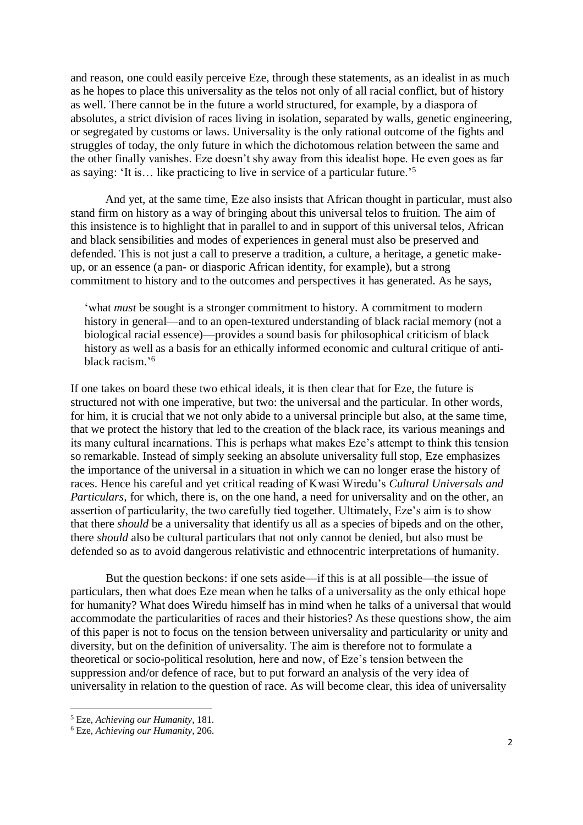and reason, one could easily perceive Eze, through these statements, as an idealist in as much as he hopes to place this universality as the telos not only of all racial conflict, but of history as well. There cannot be in the future a world structured, for example, by a diaspora of absolutes, a strict division of races living in isolation, separated by walls, genetic engineering, or segregated by customs or laws. Universality is the only rational outcome of the fights and struggles of today, the only future in which the dichotomous relation between the same and the other finally vanishes. Eze doesn't shy away from this idealist hope. He even goes as far as saying: 'It is… like practicing to live in service of a particular future.' 5

And yet, at the same time, Eze also insists that African thought in particular, must also stand firm on history as a way of bringing about this universal telos to fruition. The aim of this insistence is to highlight that in parallel to and in support of this universal telos, African and black sensibilities and modes of experiences in general must also be preserved and defended. This is not just a call to preserve a tradition, a culture, a heritage, a genetic makeup, or an essence (a pan- or diasporic African identity, for example), but a strong commitment to history and to the outcomes and perspectives it has generated. As he says,

'what *must* be sought is a stronger commitment to history. A commitment to modern history in general—and to an open-textured understanding of black racial memory (not a biological racial essence)—provides a sound basis for philosophical criticism of black history as well as a basis for an ethically informed economic and cultural critique of antiblack racism.' 6

If one takes on board these two ethical ideals, it is then clear that for Eze, the future is structured not with one imperative, but two: the universal and the particular. In other words, for him, it is crucial that we not only abide to a universal principle but also, at the same time, that we protect the history that led to the creation of the black race, its various meanings and its many cultural incarnations. This is perhaps what makes Eze's attempt to think this tension so remarkable. Instead of simply seeking an absolute universality full stop, Eze emphasizes the importance of the universal in a situation in which we can no longer erase the history of races. Hence his careful and yet critical reading of Kwasi Wiredu's *Cultural Universals and Particulars,* for which, there is, on the one hand, a need for universality and on the other, an assertion of particularity, the two carefully tied together. Ultimately, Eze's aim is to show that there *should* be a universality that identify us all as a species of bipeds and on the other, there *should* also be cultural particulars that not only cannot be denied, but also must be defended so as to avoid dangerous relativistic and ethnocentric interpretations of humanity.

But the question beckons: if one sets aside—if this is at all possible—the issue of particulars, then what does Eze mean when he talks of a universality as the only ethical hope for humanity? What does Wiredu himself has in mind when he talks of a universal that would accommodate the particularities of races and their histories? As these questions show, the aim of this paper is not to focus on the tension between universality and particularity or unity and diversity, but on the definition of universality. The aim is therefore not to formulate a theoretical or socio-political resolution, here and now, of Eze's tension between the suppression and/or defence of race, but to put forward an analysis of the very idea of universality in relation to the question of race. As will become clear, this idea of universality

<sup>5</sup> Eze, *Achieving our Humanity*, 181.

<sup>6</sup> Eze, *Achieving our Humanity*, 206.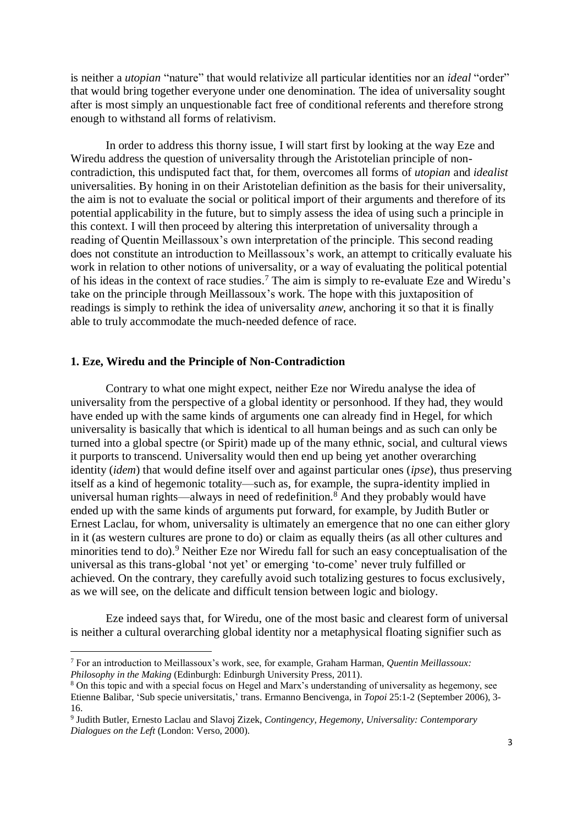is neither a *utopian* "nature" that would relativize all particular identities nor an *ideal* "order" that would bring together everyone under one denomination. The idea of universality sought after is most simply an unquestionable fact free of conditional referents and therefore strong enough to withstand all forms of relativism.

In order to address this thorny issue, I will start first by looking at the way Eze and Wiredu address the question of universality through the Aristotelian principle of noncontradiction, this undisputed fact that, for them, overcomes all forms of *utopian* and *idealist* universalities. By honing in on their Aristotelian definition as the basis for their universality, the aim is not to evaluate the social or political import of their arguments and therefore of its potential applicability in the future, but to simply assess the idea of using such a principle in this context. I will then proceed by altering this interpretation of universality through a reading of Quentin Meillassoux's own interpretation of the principle. This second reading does not constitute an introduction to Meillassoux's work, an attempt to critically evaluate his work in relation to other notions of universality, or a way of evaluating the political potential of his ideas in the context of race studies. <sup>7</sup> The aim is simply to re-evaluate Eze and Wiredu's take on the principle through Meillassoux's work. The hope with this juxtaposition of readings is simply to rethink the idea of universality *anew*, anchoring it so that it is finally able to truly accommodate the much-needed defence of race.

# **1. Eze, Wiredu and the Principle of Non-Contradiction**

l

Contrary to what one might expect, neither Eze nor Wiredu analyse the idea of universality from the perspective of a global identity or personhood. If they had, they would have ended up with the same kinds of arguments one can already find in Hegel, for which universality is basically that which is identical to all human beings and as such can only be turned into a global spectre (or Spirit) made up of the many ethnic, social, and cultural views it purports to transcend. Universality would then end up being yet another overarching identity (*idem*) that would define itself over and against particular ones (*ipse*), thus preserving itself as a kind of hegemonic totality—such as, for example, the supra-identity implied in universal human rights—always in need of redefinition.<sup>8</sup> And they probably would have ended up with the same kinds of arguments put forward, for example, by Judith Butler or Ernest Laclau, for whom, universality is ultimately an emergence that no one can either glory in it (as western cultures are prone to do) or claim as equally theirs (as all other cultures and minorities tend to do).<sup>9</sup> Neither Eze nor Wiredu fall for such an easy conceptualisation of the universal as this trans-global 'not yet' or emerging 'to-come' never truly fulfilled or achieved. On the contrary, they carefully avoid such totalizing gestures to focus exclusively, as we will see, on the delicate and difficult tension between logic and biology.

Eze indeed says that, for Wiredu, one of the most basic and clearest form of universal is neither a cultural overarching global identity nor a metaphysical floating signifier such as

<sup>7</sup> For an introduction to Meillassoux's work, see, for example, Graham Harman, *Quentin Meillassoux: Philosophy in the Making* (Edinburgh: Edinburgh University Press, 2011).

<sup>8</sup> On this topic and with a special focus on Hegel and Marx's understanding of universality as hegemony, see Etienne Balibar, 'Sub specie universitatis,' trans. Ermanno Bencivenga, in *Topoi* 25:1-2 (September 2006), 3- 16.

<sup>9</sup> Judith Butler, Ernesto Laclau and Slavoj Zizek, *Contingency, Hegemony, Universality: Contemporary Dialogues on the Left* (London: Verso, 2000).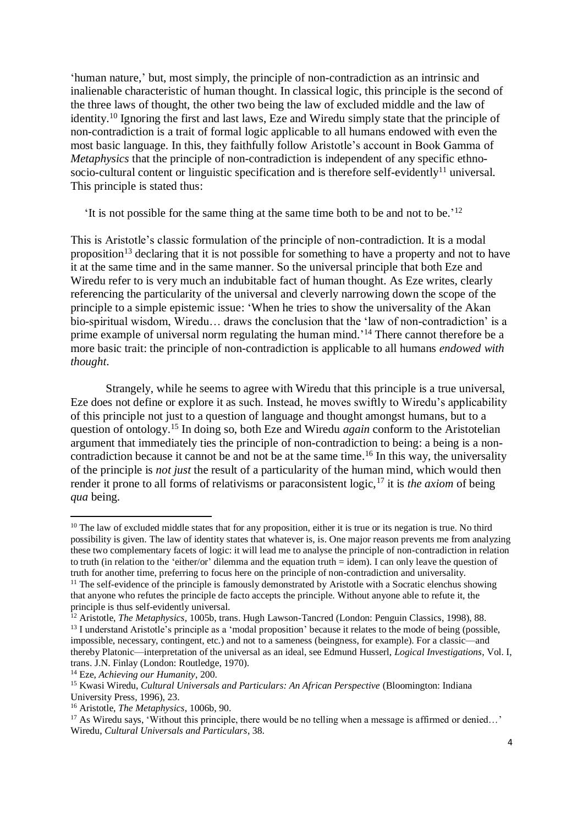'human nature,' but, most simply, the principle of non-contradiction as an intrinsic and inalienable characteristic of human thought. In classical logic, this principle is the second of the three laws of thought, the other two being the law of excluded middle and the law of identity.<sup>10</sup> Ignoring the first and last laws, Eze and Wiredu simply state that the principle of non-contradiction is a trait of formal logic applicable to all humans endowed with even the most basic language. In this, they faithfully follow Aristotle's account in Book Gamma of *Metaphysics* that the principle of non-contradiction is independent of any specific ethnosocio-cultural content or linguistic specification and is therefore self-evidently<sup>11</sup> universal. This principle is stated thus:

'It is not possible for the same thing at the same time both to be and not to be.' 12

This is Aristotle's classic formulation of the principle of non-contradiction. It is a modal proposition<sup>13</sup> declaring that it is not possible for something to have a property and not to have it at the same time and in the same manner. So the universal principle that both Eze and Wiredu refer to is very much an indubitable fact of human thought. As Eze writes, clearly referencing the particularity of the universal and cleverly narrowing down the scope of the principle to a simple epistemic issue: 'When he tries to show the universality of the Akan bio-spiritual wisdom, Wiredu… draws the conclusion that the 'law of non-contradiction' is a prime example of universal norm regulating the human mind.<sup>'14</sup> There cannot therefore be a more basic trait: the principle of non-contradiction is applicable to all humans *endowed with thought*.

Strangely, while he seems to agree with Wiredu that this principle is a true universal, Eze does not define or explore it as such. Instead, he moves swiftly to Wiredu's applicability of this principle not just to a question of language and thought amongst humans, but to a question of ontology. <sup>15</sup> In doing so, both Eze and Wiredu *again* conform to the Aristotelian argument that immediately ties the principle of non-contradiction to being: a being is a noncontradiction because it cannot be and not be at the same time. <sup>16</sup> In this way, the universality of the principle is *not just* the result of a particularity of the human mind, which would then render it prone to all forms of relativisms or paraconsistent logic,<sup>17</sup> it is *the axiom* of being *qua* being.

 $10$  The law of excluded middle states that for any proposition, either it is true or its negation is true. No third possibility is given. The law of identity states that whatever is, is. One major reason prevents me from analyzing these two complementary facets of logic: it will lead me to analyse the principle of non-contradiction in relation to truth (in relation to the 'either/or' dilemma and the equation truth = idem). I can only leave the question of truth for another time, preferring to focus here on the principle of non-contradiction and universality.

<sup>&</sup>lt;sup>11</sup> The self-evidence of the principle is famously demonstrated by Aristotle with a Socratic elenchus showing that anyone who refutes the principle de facto accepts the principle. Without anyone able to refute it, the principle is thus self-evidently universal.

<sup>&</sup>lt;sup>12</sup> Aristotle, *The Metaphysics*, 1005b, trans. Hugh Lawson-Tancred (London: Penguin Classics, 1998), 88. <sup>13</sup> I understand Aristotle's principle as a 'modal proposition' because it relates to the mode of being (possible, impossible, necessary, contingent, etc.) and not to a sameness (beingness, for example). For a classic—and thereby Platonic—interpretation of the universal as an ideal, see Edmund Husserl, *Logical Investigations*, Vol. I, trans. J.N. Finlay (London: Routledge, 1970).

<sup>14</sup> Eze, *Achieving our Humanity*, 200.

<sup>&</sup>lt;sup>15</sup> Kwasi Wiredu, *Cultural Universals and Particulars: An African Perspective* (Bloomington: Indiana University Press, 1996), 23.

<sup>16</sup> Aristotle, *The Metaphysics*, 1006b, 90.

<sup>&</sup>lt;sup>17</sup> As Wiredu says, 'Without this principle, there would be no telling when a message is affirmed or denied...' Wiredu, *Cultural Universals and Particulars*, 38.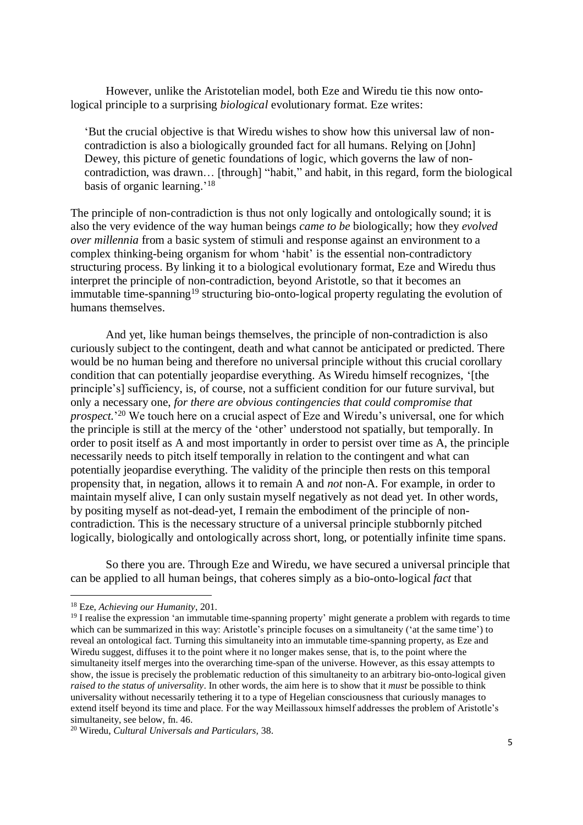However, unlike the Aristotelian model, both Eze and Wiredu tie this now ontological principle to a surprising *biological* evolutionary format. Eze writes:

'But the crucial objective is that Wiredu wishes to show how this universal law of noncontradiction is also a biologically grounded fact for all humans. Relying on [John] Dewey, this picture of genetic foundations of logic, which governs the law of noncontradiction, was drawn… [through] "habit," and habit, in this regard, form the biological basis of organic learning.'<sup>18</sup>

The principle of non-contradiction is thus not only logically and ontologically sound; it is also the very evidence of the way human beings *came to be* biologically; how they *evolved over millennia* from a basic system of stimuli and response against an environment to a complex thinking-being organism for whom 'habit' is the essential non-contradictory structuring process. By linking it to a biological evolutionary format, Eze and Wiredu thus interpret the principle of non-contradiction, beyond Aristotle, so that it becomes an immutable time-spanning<sup>19</sup> structuring bio-onto-logical property regulating the evolution of humans themselves.

And yet, like human beings themselves, the principle of non-contradiction is also curiously subject to the contingent, death and what cannot be anticipated or predicted. There would be no human being and therefore no universal principle without this crucial corollary condition that can potentially jeopardise everything. As Wiredu himself recognizes, '[the principle's] sufficiency, is, of course, not a sufficient condition for our future survival, but only a necessary one, *for there are obvious contingencies that could compromise that prospect.*' <sup>20</sup> We touch here on a crucial aspect of Eze and Wiredu's universal, one for which the principle is still at the mercy of the 'other' understood not spatially, but temporally. In order to posit itself as A and most importantly in order to persist over time as A, the principle necessarily needs to pitch itself temporally in relation to the contingent and what can potentially jeopardise everything. The validity of the principle then rests on this temporal propensity that, in negation, allows it to remain A and *not* non-A. For example, in order to maintain myself alive, I can only sustain myself negatively as not dead yet. In other words, by positing myself as not-dead-yet, I remain the embodiment of the principle of noncontradiction. This is the necessary structure of a universal principle stubbornly pitched logically, biologically and ontologically across short, long, or potentially infinite time spans.

So there you are. Through Eze and Wiredu, we have secured a universal principle that can be applied to all human beings, that coheres simply as a bio-onto-logical *fact* that

<sup>18</sup> Eze, *Achieving our Humanity*, 201.

<sup>&</sup>lt;sup>19</sup> I realise the expression 'an immutable time-spanning property' might generate a problem with regards to time which can be summarized in this way: Aristotle's principle focuses on a simultaneity ('at the same time') to reveal an ontological fact. Turning this simultaneity into an immutable time-spanning property, as Eze and Wiredu suggest, diffuses it to the point where it no longer makes sense, that is, to the point where the simultaneity itself merges into the overarching time-span of the universe. However, as this essay attempts to show, the issue is precisely the problematic reduction of this simultaneity to an arbitrary bio-onto-logical given *raised to the status of universality*. In other words, the aim here is to show that it *must* be possible to think universality without necessarily tethering it to a type of Hegelian consciousness that curiously manages to extend itself beyond its time and place. For the way Meillassoux himself addresses the problem of Aristotle's simultaneity, see below, fn. 46.

<sup>20</sup> Wiredu, *Cultural Universals and Particulars,* 38.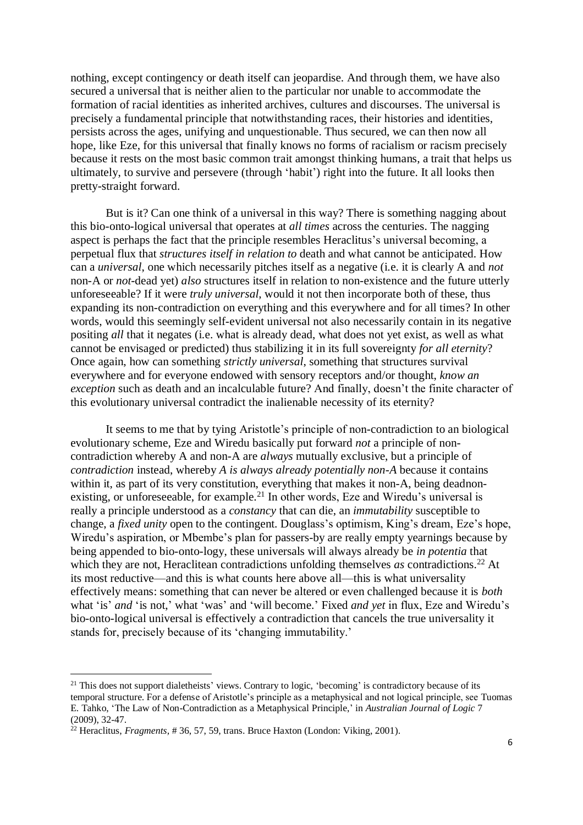nothing, except contingency or death itself can jeopardise. And through them, we have also secured a universal that is neither alien to the particular nor unable to accommodate the formation of racial identities as inherited archives, cultures and discourses. The universal is precisely a fundamental principle that notwithstanding races, their histories and identities, persists across the ages, unifying and unquestionable. Thus secured, we can then now all hope, like Eze, for this universal that finally knows no forms of racialism or racism precisely because it rests on the most basic common trait amongst thinking humans, a trait that helps us ultimately, to survive and persevere (through 'habit') right into the future. It all looks then pretty-straight forward.

But is it? Can one think of a universal in this way? There is something nagging about this bio-onto-logical universal that operates at *all times* across the centuries. The nagging aspect is perhaps the fact that the principle resembles Heraclitus's universal becoming, a perpetual flux that *structures itself in relation to* death and what cannot be anticipated. How can a *universal*, one which necessarily pitches itself as a negative (i.e. it is clearly A and *not* non-A or *not*-dead yet) *also* structures itself in relation to non-existence and the future utterly unforeseeable? If it were *truly universal*, would it not then incorporate both of these, thus expanding its non-contradiction on everything and this everywhere and for all times? In other words, would this seemingly self-evident universal not also necessarily contain in its negative positing *all* that it negates (i.e. what is already dead, what does not yet exist, as well as what cannot be envisaged or predicted) thus stabilizing it in its full sovereignty *for all eternity*? Once again, how can something *strictly universal*, something that structures survival everywhere and for everyone endowed with sensory receptors and/or thought, *know an exception* such as death and an incalculable future? And finally, doesn't the finite character of this evolutionary universal contradict the inalienable necessity of its eternity?

It seems to me that by tying Aristotle's principle of non-contradiction to an biological evolutionary scheme, Eze and Wiredu basically put forward *not* a principle of noncontradiction whereby A and non-A are *always* mutually exclusive, but a principle of *contradiction* instead, whereby *A is always already potentially non-A* because it contains within it, as part of its very constitution, everything that makes it non-A, being deadnonexisting, or unforeseeable, for example.<sup>21</sup> In other words, Eze and Wiredu's universal is really a principle understood as a *constancy* that can die, an *immutability* susceptible to change, a *fixed unity* open to the contingent. Douglass's optimism, King's dream, Eze's hope, Wiredu's aspiration, or Mbembe's plan for passers-by are really empty yearnings because by being appended to bio-onto-logy, these universals will always already be *in potentia* that which they are not, Heraclitean contradictions unfolding themselves *as* contradictions.<sup>22</sup> At its most reductive—and this is what counts here above all—this is what universality effectively means: something that can never be altered or even challenged because it is *both* what 'is' *and* 'is not,' what 'was' and 'will become.' Fixed *and yet* in flux, Eze and Wiredu's bio-onto-logical universal is effectively a contradiction that cancels the true universality it stands for, precisely because of its 'changing immutability.'

<sup>&</sup>lt;sup>21</sup> This does not support dialetheists' views. Contrary to logic, 'becoming' is contradictory because of its temporal structure. For a defense of Aristotle's principle as a metaphysical and not logical principle, see Tuomas E. Tahko, 'The Law of Non-Contradiction as a Metaphysical Principle,' in *Australian Journal of Logic* 7 (2009), 32-47.

<sup>22</sup> Heraclitus, *Fragments,* # 36, 57, 59, trans. Bruce Haxton (London: Viking, 2001).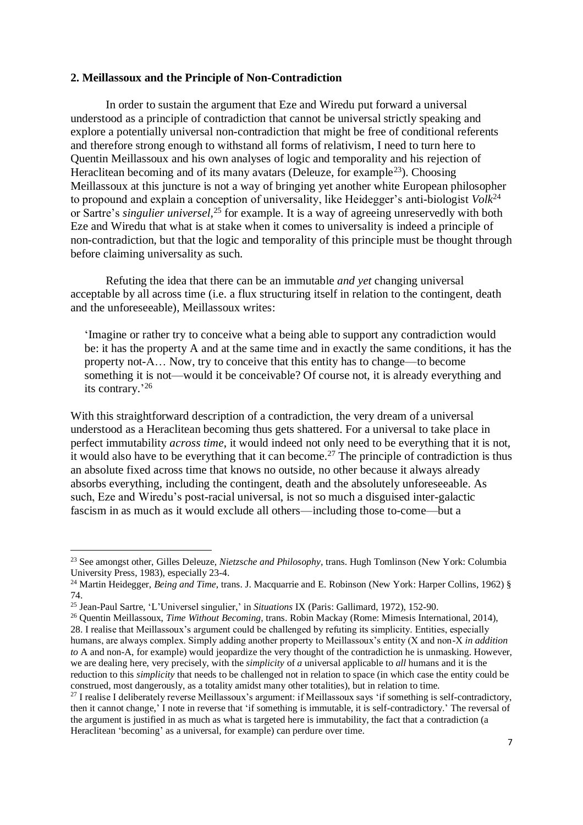### **2. Meillassoux and the Principle of Non-Contradiction**

In order to sustain the argument that Eze and Wiredu put forward a universal understood as a principle of contradiction that cannot be universal strictly speaking and explore a potentially universal non-contradiction that might be free of conditional referents and therefore strong enough to withstand all forms of relativism, I need to turn here to Quentin Meillassoux and his own analyses of logic and temporality and his rejection of Heraclitean becoming and of its many avatars (Deleuze, for example<sup>23</sup>). Choosing Meillassoux at this juncture is not a way of bringing yet another white European philosopher to propound and explain a conception of universality, like Heidegger's anti-biologist *Volk*<sup>24</sup> or Sartre's *singulier universel,* <sup>25</sup> for example. It is a way of agreeing unreservedly with both Eze and Wiredu that what is at stake when it comes to universality is indeed a principle of non-contradiction, but that the logic and temporality of this principle must be thought through before claiming universality as such.

Refuting the idea that there can be an immutable *and yet* changing universal acceptable by all across time (i.e. a flux structuring itself in relation to the contingent, death and the unforeseeable), Meillassoux writes:

'Imagine or rather try to conceive what a being able to support any contradiction would be: it has the property A and at the same time and in exactly the same conditions, it has the property not-A… Now, try to conceive that this entity has to change—to become something it is not—would it be conceivable? Of course not, it is already everything and its contrary.' 26

With this straightforward description of a contradiction, the very dream of a universal understood as a Heraclitean becoming thus gets shattered. For a universal to take place in perfect immutability *across time*, it would indeed not only need to be everything that it is not, it would also have to be everything that it can become.<sup>27</sup> The principle of contradiction is thus an absolute fixed across time that knows no outside, no other because it always already absorbs everything, including the contingent, death and the absolutely unforeseeable. As such, Eze and Wiredu's post-racial universal, is not so much a disguised inter-galactic fascism in as much as it would exclude all others—including those to-come—but a

<sup>23</sup> See amongst other, Gilles Deleuze, *Nietzsche and Philosophy,* trans. Hugh Tomlinson (New York: Columbia University Press, 1983), especially 23-4.

<sup>&</sup>lt;sup>24</sup> Martin Heidegger, *Being and Time*, trans. J. Macquarrie and E. Robinson (New York: Harper Collins, 1962) § 74.

<sup>25</sup> Jean-Paul Sartre, 'L'Universel singulier,' in *Situations* IX (Paris: Gallimard, 1972), 152-90.

<sup>26</sup> Quentin Meillassoux, *Time Without Becoming*, trans. Robin Mackay (Rome: Mimesis International, 2014), 28. I realise that Meillassoux's argument could be challenged by refuting its simplicity. Entities, especially humans, are always complex. Simply adding another property to Meillassoux's entity (X and non-X *in addition to* A and non-A, for example) would jeopardize the very thought of the contradiction he is unmasking. However, we are dealing here, very precisely, with the *simplicity* of *a* universal applicable to *all* humans and it is the reduction to this *simplicity* that needs to be challenged not in relation to space (in which case the entity could be construed, most dangerously, as a totality amidst many other totalities), but in relation to time.

<sup>&</sup>lt;sup>27</sup> I realise I deliberately reverse Meillassoux's argument: if Meillassoux says 'if something is self-contradictory, then it cannot change,' I note in reverse that 'if something is immutable, it is self-contradictory.' The reversal of the argument is justified in as much as what is targeted here is immutability, the fact that a contradiction (a Heraclitean 'becoming' as a universal, for example) can perdure over time.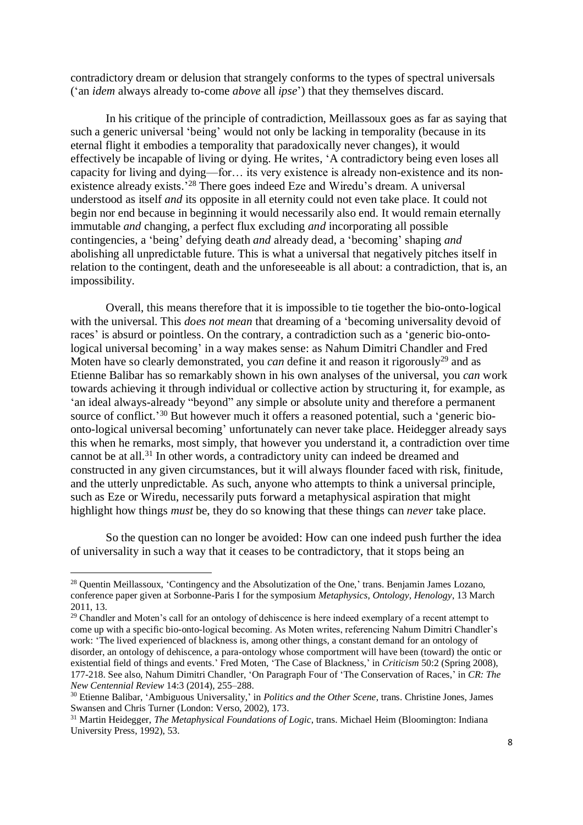contradictory dream or delusion that strangely conforms to the types of spectral universals ('an *idem* always already to-come *above* all *ipse*') that they themselves discard.

In his critique of the principle of contradiction, Meillassoux goes as far as saying that such a generic universal 'being' would not only be lacking in temporality (because in its eternal flight it embodies a temporality that paradoxically never changes), it would effectively be incapable of living or dying. He writes, 'A contradictory being even loses all capacity for living and dying—for… its very existence is already non-existence and its nonexistence already exists.<sup>'28</sup> There goes indeed Eze and Wiredu's dream. A universal understood as itself *and* its opposite in all eternity could not even take place. It could not begin nor end because in beginning it would necessarily also end. It would remain eternally immutable *and* changing, a perfect flux excluding *and* incorporating all possible contingencies, a 'being' defying death *and* already dead, a 'becoming' shaping *and* abolishing all unpredictable future. This is what a universal that negatively pitches itself in relation to the contingent, death and the unforeseeable is all about: a contradiction, that is, an impossibility.

Overall, this means therefore that it is impossible to tie together the bio-onto-logical with the universal. This *does not mean* that dreaming of a 'becoming universality devoid of races' is absurd or pointless. On the contrary, a contradiction such as a 'generic bio-ontological universal becoming' in a way makes sense: as Nahum Dimitri Chandler and Fred Moten have so clearly demonstrated, you *can* define it and reason it rigorously <sup>29</sup> and as Etienne Balibar has so remarkably shown in his own analyses of the universal, you *can* work towards achieving it through individual or collective action by structuring it, for example, as 'an ideal always-already "beyond" any simple or absolute unity and therefore a permanent source of conflict.<sup>'30</sup> But however much it offers a reasoned potential, such a 'generic bioonto-logical universal becoming' unfortunately can never take place. Heidegger already says this when he remarks, most simply, that however you understand it, a contradiction over time cannot be at all. <sup>31</sup> In other words, a contradictory unity can indeed be dreamed and constructed in any given circumstances, but it will always flounder faced with risk, finitude, and the utterly unpredictable. As such, anyone who attempts to think a universal principle, such as Eze or Wiredu, necessarily puts forward a metaphysical aspiration that might highlight how things *must* be, they do so knowing that these things can *never* take place.

So the question can no longer be avoided: How can one indeed push further the idea of universality in such a way that it ceases to be contradictory, that it stops being an

l

<sup>&</sup>lt;sup>28</sup> Quentin Meillassoux, 'Contingency and the Absolutization of the One,' trans. Benjamin James Lozano, conference paper given at Sorbonne-Paris I for the symposium *Metaphysics, Ontology, Henology*, 13 March 2011, 13.

<sup>&</sup>lt;sup>29</sup> Chandler and Moten's call for an ontology of dehiscence is here indeed exemplary of a recent attempt to come up with a specific bio-onto-logical becoming. As Moten writes, referencing Nahum Dimitri Chandler's work: 'The lived experienced of blackness is, among other things, a constant demand for an ontology of disorder, an ontology of dehiscence, a para-ontology whose comportment will have been (toward) the ontic or existential field of things and events.' Fred Moten, 'The Case of Blackness,' in *Criticism* 50:2 (Spring 2008), 177-218. See also, Nahum Dimitri Chandler, 'On Paragraph Four of 'The Conservation of Races,' in *CR: The New Centennial Review* 14:3 (2014), 255–288.

<sup>30</sup> Etienne Balibar, 'Ambiguous Universality,' in *Politics and the Other Scene*, trans. Christine Jones, James Swansen and Chris Turner (London: Verso, 2002), 173.

<sup>31</sup> Martin Heidegger, *The Metaphysical Foundations of Logic*, trans. Michael Heim (Bloomington: Indiana University Press, 1992), 53.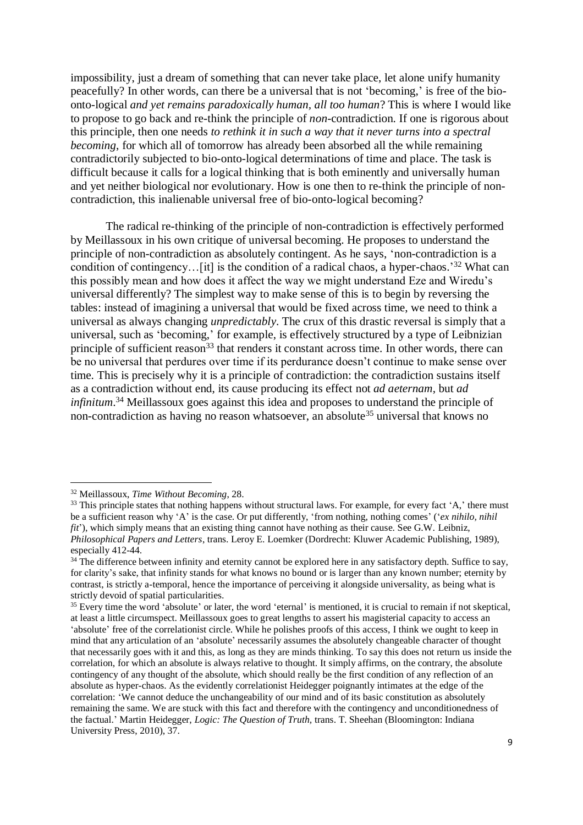impossibility, just a dream of something that can never take place, let alone unify humanity peacefully? In other words, can there be a universal that is not 'becoming,' is free of the bioonto-logical *and yet remains paradoxically human, all too human*? This is where I would like to propose to go back and re-think the principle of *non*-contradiction. If one is rigorous about this principle, then one needs *to rethink it in such a way that it never turns into a spectral becoming*, for which all of tomorrow has already been absorbed all the while remaining contradictorily subjected to bio-onto-logical determinations of time and place. The task is difficult because it calls for a logical thinking that is both eminently and universally human and yet neither biological nor evolutionary. How is one then to re-think the principle of noncontradiction, this inalienable universal free of bio-onto-logical becoming?

The radical re-thinking of the principle of non-contradiction is effectively performed by Meillassoux in his own critique of universal becoming. He proposes to understand the principle of non-contradiction as absolutely contingent. As he says, 'non-contradiction is a condition of contingency...[it] is the condition of a radical chaos, a hyper-chaos.<sup>'32</sup> What can this possibly mean and how does it affect the way we might understand Eze and Wiredu's universal differently? The simplest way to make sense of this is to begin by reversing the tables: instead of imagining a universal that would be fixed across time, we need to think a universal as always changing *unpredictably*. The crux of this drastic reversal is simply that a universal, such as 'becoming,' for example, is effectively structured by a type of Leibnizian principle of sufficient reason<sup>33</sup> that renders it constant across time. In other words, there can be no universal that perdures over time if its perdurance doesn't continue to make sense over time. This is precisely why it is a principle of contradiction: the contradiction sustains itself as a contradiction without end, its cause producing its effect not *ad aeternam*, but *ad infinitum*. <sup>34</sup> Meillassoux goes against this idea and proposes to understand the principle of non-contradiction as having no reason whatsoever, an absolute<sup>35</sup> universal that knows no

<sup>32</sup> Meillassoux, *Time Without Becoming*, 28.

<sup>&</sup>lt;sup>33</sup> This principle states that nothing happens without structural laws. For example, for every fact 'A,' there must be a sufficient reason why 'A' is the case. Or put differently, 'from nothing, nothing comes' ('*ex nihilo, nihil fit*'), which simply means that an existing thing cannot have nothing as their cause. See G.W. Leibniz, *Philosophical Papers and Letters*, trans. Leroy E. Loemker (Dordrecht: Kluwer Academic Publishing, 1989), especially 412-44.

 $34$  The difference between infinity and eternity cannot be explored here in any satisfactory depth. Suffice to say, for clarity's sake, that infinity stands for what knows no bound or is larger than any known number; eternity by contrast, is strictly a-temporal, hence the importance of perceiving it alongside universality, as being what is strictly devoid of spatial particularities.

 $35$  Every time the word 'absolute' or later, the word 'eternal' is mentioned, it is crucial to remain if not skeptical, at least a little circumspect. Meillassoux goes to great lengths to assert his magisterial capacity to access an 'absolute' free of the correlationist circle. While he polishes proofs of this access, I think we ought to keep in mind that any articulation of an 'absolute' necessarily assumes the absolutely changeable character of thought that necessarily goes with it and this, as long as they are minds thinking. To say this does not return us inside the correlation, for which an absolute is always relative to thought. It simply affirms, on the contrary, the absolute contingency of any thought of the absolute, which should really be the first condition of any reflection of an absolute as hyper-chaos. As the evidently correlationist Heidegger poignantly intimates at the edge of the correlation: 'We cannot deduce the unchangeability of our mind and of its basic constitution as absolutely remaining the same. We are stuck with this fact and therefore with the contingency and unconditionedness of the factual.' Martin Heidegger, *Logic: The Question of Truth,* trans. T. Sheehan (Bloomington: Indiana University Press, 2010), 37.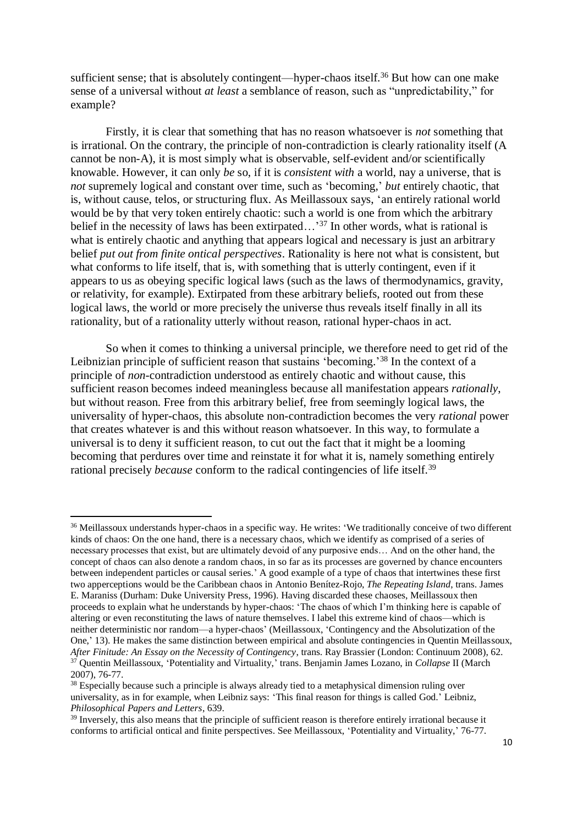sufficient sense; that is absolutely contingent—hyper-chaos itself.<sup>36</sup> But how can one make sense of a universal without *at least* a semblance of reason, such as "unpredictability," for example?

Firstly, it is clear that something that has no reason whatsoever is *not* something that is irrational. On the contrary, the principle of non-contradiction is clearly rationality itself (A cannot be non-A), it is most simply what is observable, self-evident and/or scientifically knowable. However, it can only *be* so, if it is *consistent with* a world, nay a universe, that is *not* supremely logical and constant over time, such as 'becoming,' *but* entirely chaotic, that is, without cause, telos, or structuring flux. As Meillassoux says, 'an entirely rational world would be by that very token entirely chaotic: such a world is one from which the arbitrary belief in the necessity of laws has been extirpated...<sup>37</sup> In other words, what is rational is what is entirely chaotic and anything that appears logical and necessary is just an arbitrary belief *put out from finite ontical perspectives*. Rationality is here not what is consistent, but what conforms to life itself, that is, with something that is utterly contingent, even if it appears to us as obeying specific logical laws (such as the laws of thermodynamics, gravity, or relativity, for example). Extirpated from these arbitrary beliefs, rooted out from these logical laws, the world or more precisely the universe thus reveals itself finally in all its rationality, but of a rationality utterly without reason, rational hyper-chaos in act.

So when it comes to thinking a universal principle, we therefore need to get rid of the Leibnizian principle of sufficient reason that sustains 'becoming.'<sup>38</sup> In the context of a principle of *non*-contradiction understood as entirely chaotic and without cause, this sufficient reason becomes indeed meaningless because all manifestation appears *rationally*, but without reason. Free from this arbitrary belief, free from seemingly logical laws, the universality of hyper-chaos, this absolute non-contradiction becomes the very *rational* power that creates whatever is and this without reason whatsoever. In this way, to formulate a universal is to deny it sufficient reason, to cut out the fact that it might be a looming becoming that perdures over time and reinstate it for what it is, namely something entirely rational precisely *because* conform to the radical contingencies of life itself.<sup>39</sup>

<sup>&</sup>lt;sup>36</sup> Meillassoux understands hyper-chaos in a specific way. He writes: 'We traditionally conceive of two different kinds of chaos: On the one hand, there is a necessary chaos, which we identify as comprised of a series of necessary processes that exist, but are ultimately devoid of any purposive ends… And on the other hand, the concept of chaos can also denote a random chaos, in so far as its processes are governed by chance encounters between independent particles or causal series.' A good example of a type of chaos that intertwines these first two apperceptions would be the Caribbean chaos in Antonio Benítez-Rojo, *The Repeating Island*, trans. James E. Maraniss (Durham: Duke University Press, 1996). Having discarded these chaoses, Meillassoux then proceeds to explain what he understands by hyper-chaos: 'The chaos of which I'm thinking here is capable of altering or even reconstituting the laws of nature themselves. I label this extreme kind of chaos—which is neither deterministic nor random—a hyper-chaos' (Meillassoux, 'Contingency and the Absolutization of the One,' 13). He makes the same distinction between empirical and absolute contingencies in Quentin Meillassoux, *After Finitude: An Essay on the Necessity of Contingency*, trans. Ray Brassier (London: Continuum 2008), 62. <sup>37</sup> Quentin Meillassoux, 'Potentiality and Virtuality,' trans. Benjamin James Lozano, in *Collapse* II (March 2007), 76-77.

<sup>&</sup>lt;sup>38</sup> Especially because such a principle is always already tied to a metaphysical dimension ruling over universality, as in for example, when Leibniz says: 'This final reason for things is called God.' Leibniz, *Philosophical Papers and Letters*, 639.

<sup>&</sup>lt;sup>39</sup> Inversely, this also means that the principle of sufficient reason is therefore entirely irrational because it conforms to artificial ontical and finite perspectives. See Meillassoux, 'Potentiality and Virtuality,' 76-77.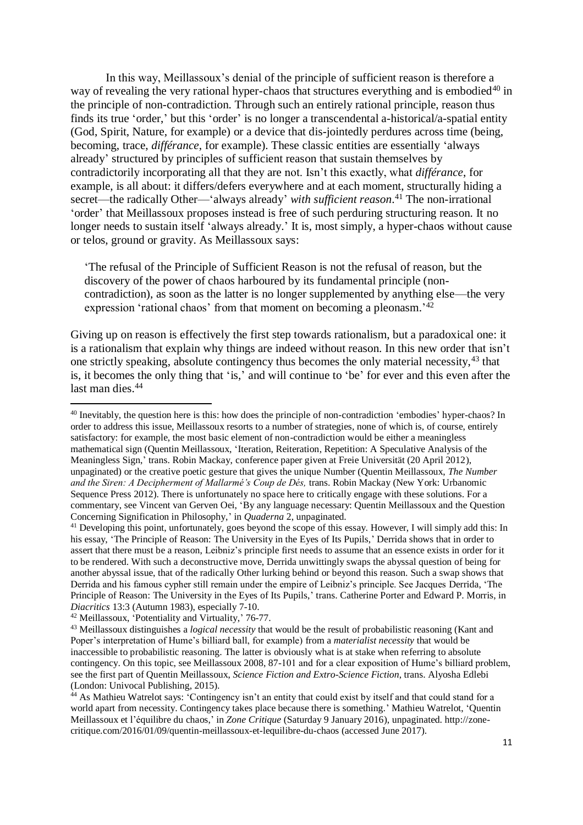In this way, Meillassoux's denial of the principle of sufficient reason is therefore a way of revealing the very rational hyper-chaos that structures everything and is embodied<sup>40</sup> in the principle of non-contradiction. Through such an entirely rational principle, reason thus finds its true 'order,' but this 'order' is no longer a transcendental a-historical/a-spatial entity (God, Spirit, Nature, for example) or a device that dis-jointedly perdures across time (being, becoming, trace, *différance*, for example). These classic entities are essentially 'always already' structured by principles of sufficient reason that sustain themselves by contradictorily incorporating all that they are not. Isn't this exactly, what *différance*, for example, is all about: it differs/defers everywhere and at each moment, structurally hiding a secret—the radically Other—'always already' *with sufficient reason*. <sup>41</sup> The non-irrational 'order' that Meillassoux proposes instead is free of such perduring structuring reason. It no longer needs to sustain itself 'always already.' It is, most simply, a hyper-chaos without cause or telos, ground or gravity. As Meillassoux says:

'The refusal of the Principle of Sufficient Reason is not the refusal of reason, but the discovery of the power of chaos harboured by its fundamental principle (noncontradiction), as soon as the latter is no longer supplemented by anything else—the very expression 'rational chaos' from that moment on becoming a pleonasm.<sup>242</sup>

Giving up on reason is effectively the first step towards rationalism, but a paradoxical one: it is a rationalism that explain why things are indeed without reason. In this new order that isn't one strictly speaking, absolute contingency thus becomes the only material necessity,<sup>43</sup> that is, it becomes the only thing that 'is,' and will continue to 'be' for ever and this even after the last man dies.<sup>44</sup>

<sup>&</sup>lt;sup>40</sup> Inevitably, the question here is this: how does the principle of non-contradiction 'embodies' hyper-chaos? In order to address this issue, Meillassoux resorts to a number of strategies, none of which is, of course, entirely satisfactory: for example, the most basic element of non-contradiction would be either a meaningless mathematical sign (Quentin Meillassoux, 'Iteration, Reiteration, Repetition: A Speculative Analysis of the Meaningless Sign,' trans. Robin Mackay, conference paper given at Freie Universität (20 April 2012), unpaginated) or the creative poetic gesture that gives the unique Number (Quentin Meillassoux, *The Number and the Siren: A Decipherment of Mallarmé's Coup de Dés,* trans. Robin Mackay (New York: Urbanomic Sequence Press 2012). There is unfortunately no space here to critically engage with these solutions. For a commentary, see Vincent van Gerven Oei, 'By any language necessary: Quentin Meillassoux and the Question Concerning Signification in Philosophy,' in *Quaderna* 2, unpaginated.

<sup>&</sup>lt;sup>41</sup> Developing this point, unfortunately, goes beyond the scope of this essay. However, I will simply add this: In his essay, 'The Principle of Reason: The University in the Eyes of Its Pupils,' Derrida shows that in order to assert that there must be a reason, Leibniz's principle first needs to assume that an essence exists in order for it to be rendered. With such a deconstructive move, Derrida unwittingly swaps the abyssal question of being for another abyssal issue, that of the radically Other lurking behind or beyond this reason. Such a swap shows that Derrida and his famous cypher still remain under the empire of Leibniz's principle. See Jacques Derrida, 'The Principle of Reason: The University in the Eyes of Its Pupils,' trans. Catherine Porter and Edward P. Morris, in *Diacritics* 13:3 (Autumn 1983), especially 7-10.

<sup>42</sup> Meillassoux, 'Potentiality and Virtuality,' 76-77.

<sup>43</sup> Meillassoux distinguishes a *logical necessity* that would be the result of probabilistic reasoning (Kant and Poper's interpretation of Hume's billiard ball, for example) from a *materialist necessity* that would be inaccessible to probabilistic reasoning. The latter is obviously what is at stake when referring to absolute contingency. On this topic, see Meillassoux 2008, 87-101 and for a clear exposition of Hume's billiard problem, see the first part of Quentin Meillassoux, *Science Fiction and Extro-Science Fiction*, trans. Alyosha Edlebi (London: Univocal Publishing, 2015).

<sup>44</sup> As Mathieu Watrelot says: 'Contingency isn't an entity that could exist by itself and that could stand for a world apart from necessity. Contingency takes place because there is something.' Mathieu Watrelot, 'Quentin Meillassoux et l'équilibre du chaos,' in *Zone Critique* (Saturday 9 January 2016), unpaginated. http://zonecritique.com/2016/01/09/quentin-meillassoux-et-lequilibre-du-chaos (accessed June 2017).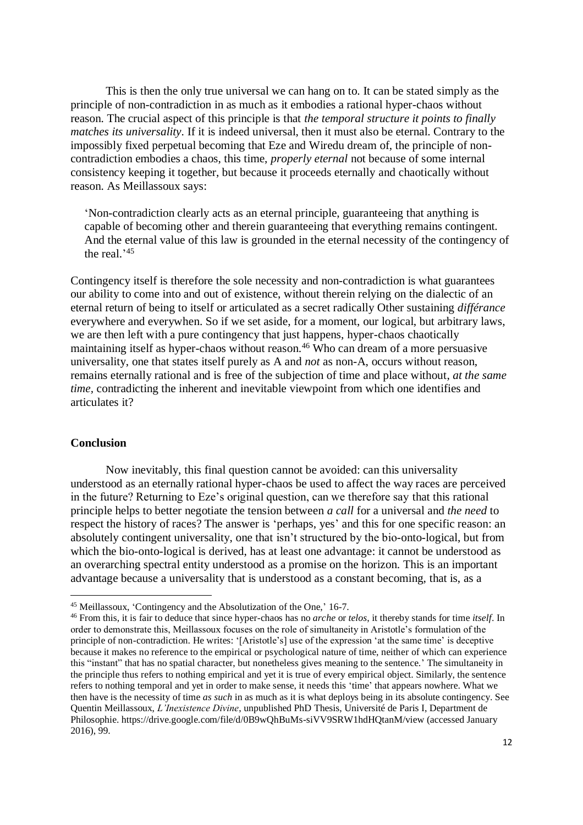This is then the only true universal we can hang on to. It can be stated simply as the principle of non-contradiction in as much as it embodies a rational hyper-chaos without reason. The crucial aspect of this principle is that *the temporal structure it points to finally matches its universality*. If it is indeed universal, then it must also be eternal. Contrary to the impossibly fixed perpetual becoming that Eze and Wiredu dream of, the principle of noncontradiction embodies a chaos, this time, *properly eternal* not because of some internal consistency keeping it together, but because it proceeds eternally and chaotically without reason. As Meillassoux says:

'Non-contradiction clearly acts as an eternal principle, guaranteeing that anything is capable of becoming other and therein guaranteeing that everything remains contingent. And the eternal value of this law is grounded in the eternal necessity of the contingency of the real.' 45

Contingency itself is therefore the sole necessity and non-contradiction is what guarantees our ability to come into and out of existence, without therein relying on the dialectic of an eternal return of being to itself or articulated as a secret radically Other sustaining *différance* everywhere and everywhen. So if we set aside, for a moment, our logical, but arbitrary laws, we are then left with a pure contingency that just happens, hyper-chaos chaotically maintaining itself as hyper-chaos without reason.<sup>46</sup> Who can dream of a more persuasive universality, one that states itself purely as A and *not* as non-A, occurs without reason, remains eternally rational and is free of the subjection of time and place without, *at the same time,* contradicting the inherent and inevitable viewpoint from which one identifies and articulates it?

#### **Conclusion**

 $\overline{a}$ 

Now inevitably, this final question cannot be avoided: can this universality understood as an eternally rational hyper-chaos be used to affect the way races are perceived in the future? Returning to Eze's original question, can we therefore say that this rational principle helps to better negotiate the tension between *a call* for a universal and *the need* to respect the history of races? The answer is 'perhaps, yes' and this for one specific reason: an absolutely contingent universality, one that isn't structured by the bio-onto-logical, but from which the bio-onto-logical is derived, has at least one advantage: it cannot be understood as an overarching spectral entity understood as a promise on the horizon. This is an important advantage because a universality that is understood as a constant becoming, that is, as a

<sup>45</sup> Meillassoux, 'Contingency and the Absolutization of the One,' 16-7.

<sup>46</sup> From this, it is fair to deduce that since hyper-chaos has no *arche* or *telos*, it thereby stands for time *itself*. In order to demonstrate this, Meillassoux focuses on the role of simultaneity in Aristotle's formulation of the principle of non-contradiction. He writes: '[Aristotle's] use of the expression 'at the same time' is deceptive because it makes no reference to the empirical or psychological nature of time, neither of which can experience this "instant" that has no spatial character, but nonetheless gives meaning to the sentence.' The simultaneity in the principle thus refers to nothing empirical and yet it is true of every empirical object. Similarly, the sentence refers to nothing temporal and yet in order to make sense, it needs this 'time' that appears nowhere. What we then have is the necessity of time *as such* in as much as it is what deploys being in its absolute contingency. See Quentin Meillassoux, *L'Inexistence Divine*, unpublished PhD Thesis, Université de Paris I, Department de Philosophie. https://drive.google.com/file/d/0B9wQhBuMs-siVV9SRW1hdHQtanM/view (accessed January 2016), 99.